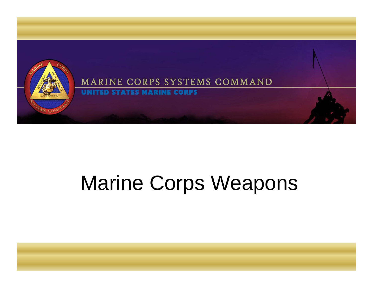

## Marine Corps Weapons

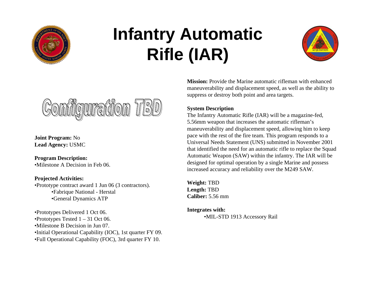

### **Infantry Automatic Rifle (IAR)**





**Joint Program:** No **Lead Agency:** USMC

**Program Description:**  •Milestone A Decision in Feb 06.

#### **Projected Activities:**

•Prototype contract award 1 Jun 06 (3 contractors). •Fabrique National - Herstal •General Dynamics ATP

•Prototypes Delivered 1 Oct 06. •Prototypes Tested  $1 - 31$  Oct 06. •Milestone B Decision in Jun 07. •Initial Operational Capability (IOC), 1st quarter FY 09. •Full Operational Capability (FOC), 3rd quarter FY 10.

**Mission:** Provide the Marine automatic rifleman with enhanced maneuverability and displacement speed, as well as the ability to suppress or destroy both point and area targets.

#### **System Description**

The Infantry Automatic Rifle (IAR) will be a magazine-fed, 5.56mm weapon that increases the automatic rifleman's maneuverability and displacement speed, allowing him to keep pace with the rest of the fire team. This program responds to a Universal Needs Statement (UNS) submitted in November 2001 that identified the need for an automatic rifle to replace the Squad Automatic Weapon (SAW) within the infantry. The IAR will be designed for optimal operation by a single Marine and possess increased accuracy and reliability over the M249 SAW.

**Weight:** TBD **Length:** TBD **Caliber:** 5.56 mm

**Integrates with:** •MIL-STD 1913 Accessory Rail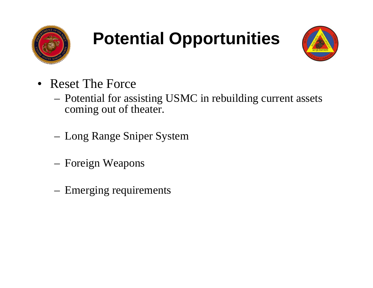

### **Potential Opportunities**



- Reset The Force
	- Potential for assisting USMC in rebuilding current assets coming out of theater.
	- Long Range Sniper System
	- Foreign Weapons
	- Emerging requirements